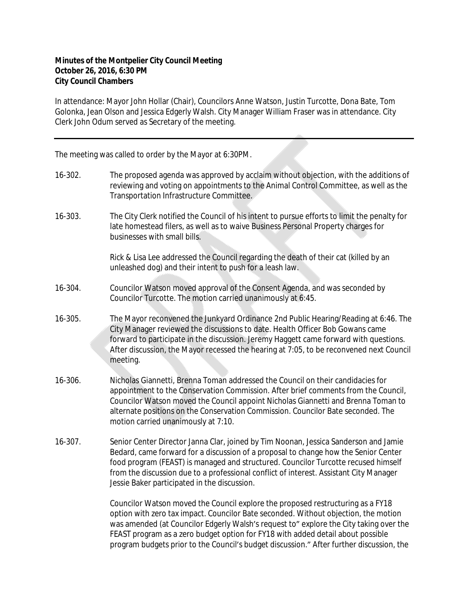## **Minutes of the Montpelier City Council Meeting October 26, 2016, 6:30 PM City Council Chambers**

In attendance: Mayor John Hollar (Chair), Councilors Anne Watson, Justin Turcotte, Dona Bate, Tom Golonka, Jean Olson and Jessica Edgerly Walsh. City Manager William Fraser was in attendance. City Clerk John Odum served as Secretary of the meeting.

The meeting was called to order by the Mayor at 6:30PM.

- 16-302. The proposed agenda was approved by acclaim without objection, with the additions of reviewing and voting on appointments to the Animal Control Committee, as well as the Transportation Infrastructure Committee.
- 16-303. The City Clerk notified the Council of his intent to pursue efforts to limit the penalty for late homestead filers, as well as to waive Business Personal Property charges for businesses with small bills.

Rick & Lisa Lee addressed the Council regarding the death of their cat (killed by an unleashed dog) and their intent to push for a leash law.

- 16-304. Councilor Watson moved approval of the Consent Agenda, and was seconded by Councilor Turcotte. The motion carried unanimously at 6:45.
- 16-305. The Mayor reconvened the Junkyard Ordinance 2nd Public Hearing/Reading at 6:46. The City Manager reviewed the discussions to date. Health Officer Bob Gowans came forward to participate in the discussion. Jeremy Haggett came forward with questions. After discussion, the Mayor recessed the hearing at 7:05, to be reconvened next Council meeting.
- 16-306. Nicholas Giannetti, Brenna Toman addressed the Council on their candidacies for appointment to the Conservation Commission. After brief comments from the Council, Councilor Watson moved the Council appoint Nicholas Giannetti and Brenna Toman to alternate positions on the Conservation Commission. Councilor Bate seconded. The motion carried unanimously at 7:10.
- 16-307. Senior Center Director Janna Clar, joined by Tim Noonan, Jessica Sanderson and Jamie Bedard, came forward for a discussion of a proposal to change how the Senior Center food program (FEAST) is managed and structured. Councilor Turcotte recused himself from the discussion due to a professional conflict of interest. Assistant City Manager Jessie Baker participated in the discussion.

Councilor Watson moved the Council explore the proposed restructuring as a FY18 option with zero tax impact. Councilor Bate seconded. Without objection, the motion was amended (at Councilor Edgerly Walsh's request to" explore the City taking over the FEAST program as a zero budget option for FY18 with added detail about possible program budgets prior to the Council's budget discussion." After further discussion, the